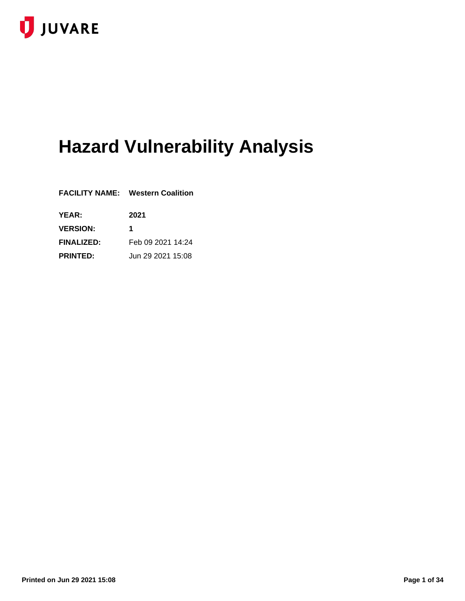

# **Hazard Vulnerability Analysis**

|                   | <b>FACILITY NAME: Western Coalition</b> |
|-------------------|-----------------------------------------|
| <b>YEAR:</b>      | 2021                                    |
| <b>VERSION:</b>   | 1                                       |
| <b>FINALIZED:</b> | Feb 09 2021 14:24                       |
| <b>PRINTED:</b>   | Jun 29 2021 15:08                       |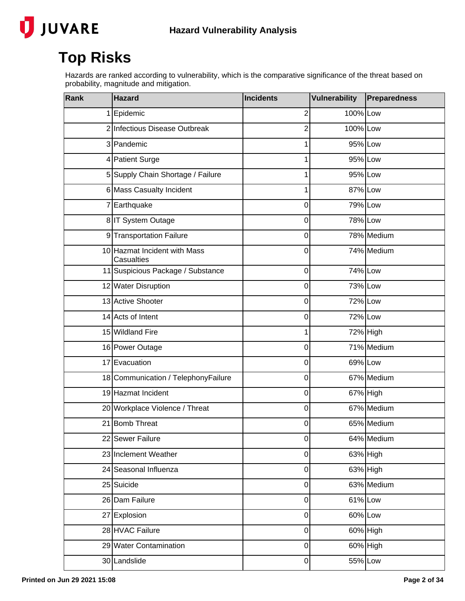

## **Top Risks**

Hazards are ranked according to vulnerability, which is the comparative significance of the threat based on probability, magnitude and mitigation.

| Rank | <b>Hazard</b>                              | <b>Incidents</b> | <b>Vulnerability</b> | Preparedness |
|------|--------------------------------------------|------------------|----------------------|--------------|
|      | 1 Epidemic                                 | $\overline{2}$   | 100% Low             |              |
|      | 2 Infectious Disease Outbreak              | 2                | 100% Low             |              |
|      | 3 Pandemic                                 | 1                | 95% Low              |              |
|      | 4 Patient Surge                            | 1                | 95% Low              |              |
|      | 5 Supply Chain Shortage / Failure          |                  | 95% Low              |              |
|      | 6 Mass Casualty Incident                   | 1                | 87% Low              |              |
|      | 7 Earthquake                               | 0                | 79% Low              |              |
|      | 8 IT System Outage                         | 0                | 78% Low              |              |
|      | 9 Transportation Failure                   | 0                |                      | 78% Medium   |
|      | 10 Hazmat Incident with Mass<br>Casualties | 0                |                      | 74% Medium   |
|      | 11 Suspicious Package / Substance          | 0                | 74% Low              |              |
|      | 12 Water Disruption                        | 0                | 73% Low              |              |
|      | 13 Active Shooter                          | 0                | 72% Low              |              |
|      | 14 Acts of Intent                          | 0                | 72% Low              |              |
|      | 15 Wildland Fire                           | 1                |                      | 72% High     |
|      | 16 Power Outage                            | 0                |                      | 71% Medium   |
|      | 17 Evacuation                              | 0                | 69% Low              |              |
|      | 18 Communication / TelephonyFailure        | 0                |                      | 67% Medium   |
|      | 19 Hazmat Incident                         | 0                |                      | 67% High     |
|      | 20 Workplace Violence / Threat             | 0                |                      | 67% Medium   |
|      | 21 Bomb Threat                             | 0                |                      | 65% Medium   |
|      | 22 Sewer Failure                           | 0                |                      | 64% Medium   |
|      | 23 Inclement Weather                       | 0                |                      | 63% High     |
|      | 24 Seasonal Influenza                      | 0                |                      | 63% High     |
|      | 25 Suicide                                 | 0                |                      | 63% Medium   |
|      | 26 Dam Failure                             | 0                | 61% Low              |              |
|      | 27 Explosion                               | 0                | 60% Low              |              |
|      | 28 HVAC Failure                            | 0                |                      | 60% High     |
|      | 29 Water Contamination                     | 0                |                      | 60% High     |
|      | 30 Landslide                               | 0                | 55% Low              |              |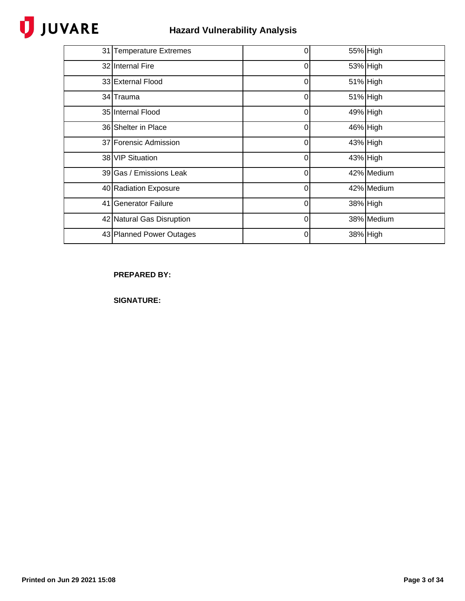# JUVARE

| 31 Temperature Extremes   | 0        |          | 55% High   |
|---------------------------|----------|----------|------------|
| 32 Internal Fire          | $\Omega$ |          | 53% High   |
| 33 External Flood         | 0        | 51% High |            |
| 34 Trauma                 | 0        |          | 51% High   |
| 35 Internal Flood         | 0        |          | 49% High   |
| 36 Shelter in Place       | 0        |          | 46% High   |
| 37 Forensic Admission     | 0        |          | 43% High   |
| 38 VIP Situation          | $\Omega$ |          | 43% High   |
| 39 Gas / Emissions Leak   | $\Omega$ |          | 42% Medium |
| 40 Radiation Exposure     | 0        |          | 42% Medium |
| 41 Generator Failure      | $\Omega$ |          | 38% High   |
| 42 Natural Gas Disruption | 0        |          | 38% Medium |
| 43 Planned Power Outages  | 0        |          | 38% High   |

### **PREPARED BY:**

**SIGNATURE:**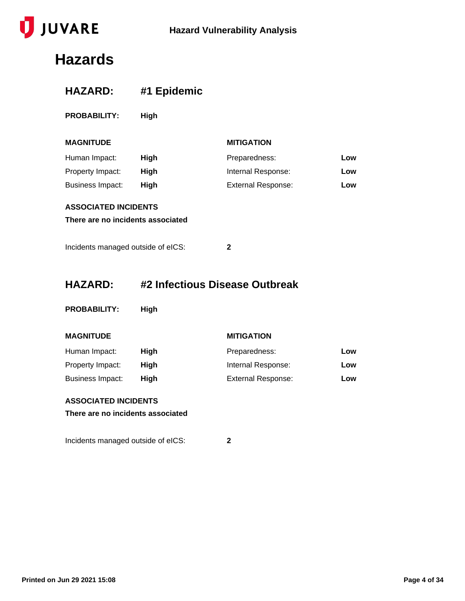

## **Hazards**

| <b>HAZARD:</b>                                                   | #1 Epidemic                    |                           |     |
|------------------------------------------------------------------|--------------------------------|---------------------------|-----|
| <b>PROBABILITY:</b>                                              | High                           |                           |     |
| <b>MAGNITUDE</b>                                                 |                                | <b>MITIGATION</b>         |     |
| Human Impact:                                                    | High                           | Preparedness:             | Low |
| Property Impact:                                                 | High                           | Internal Response:        | Low |
| <b>Business Impact:</b>                                          | High                           | <b>External Response:</b> | Low |
| <b>ASSOCIATED INCIDENTS</b>                                      |                                |                           |     |
| There are no incidents associated                                |                                |                           |     |
| Incidents managed outside of eICS:                               |                                | $\mathbf{2}$              |     |
| <b>HAZARD:</b>                                                   | #2 Infectious Disease Outbreak |                           |     |
| <b>PROBABILITY:</b>                                              | High                           |                           |     |
| <b>MAGNITUDE</b>                                                 |                                | <b>MITIGATION</b>         |     |
| Human Impact:                                                    | <b>High</b>                    | Preparedness:             | Low |
| Property Impact:                                                 | High                           | Internal Response:        | Low |
| <b>Business Impact:</b>                                          | High                           | <b>External Response:</b> | Low |
| <b>ASSOCIATED INCIDENTS</b><br>There are no incidents associated |                                |                           |     |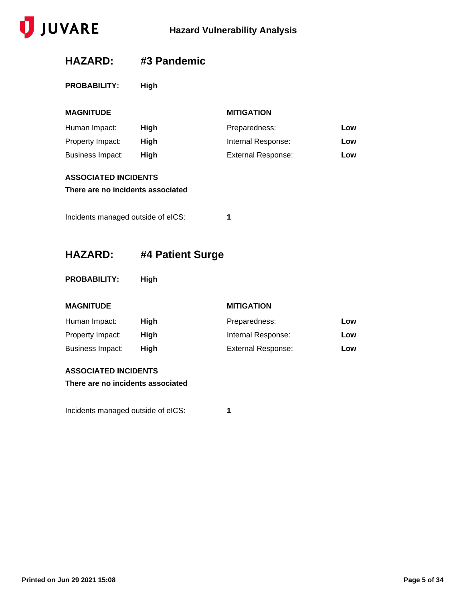

### **HAZARD: #3 Pandemic**

**PROBABILITY: High**

| <b>MAGNITUDE</b>                                                                                       |      | <b>MITIGATION</b>         |     |
|--------------------------------------------------------------------------------------------------------|------|---------------------------|-----|
| Human Impact:                                                                                          | High | Preparedness:             | Low |
| Property Impact:                                                                                       | High | Internal Response:        | Low |
| <b>Business Impact:</b>                                                                                | High | <b>External Response:</b> | Low |
| <b>ASSOCIATED INCIDENTS</b><br>There are no incidents associated<br>Incidents managed outside of eICS: |      | 1                         |     |

### **HAZARD: #4 Patient Surge**

**PROBABILITY: High**

#### **MAGNITUDE MITIGATION**

| Human Impact:    | High | Preparedness:             | Low |
|------------------|------|---------------------------|-----|
| Property Impact: | High | Internal Response:        | Low |
| Business Impact: | Hiah | <b>External Response:</b> | Low |

#### **ASSOCIATED INCIDENTS**

**There are no incidents associated**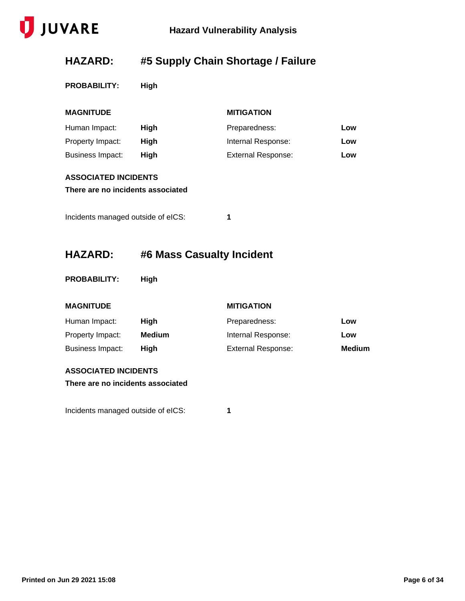

## **HAZARD: #5 Supply Chain Shortage / Failure**

**PROBABILITY: High**

| <b>MAGNITUDE</b>                                                 |                           | <b>MITIGATION</b>         |     |
|------------------------------------------------------------------|---------------------------|---------------------------|-----|
| Human Impact:                                                    | High                      | Preparedness:             | Low |
| Property Impact:                                                 | High                      | Internal Response:        | Low |
| <b>Business Impact:</b>                                          | High                      | <b>External Response:</b> | Low |
| <b>ASSOCIATED INCIDENTS</b><br>There are no incidents associated |                           |                           |     |
| Incidents managed outside of eICS:                               |                           | 1                         |     |
| <b>HAZARD:</b>                                                   | #6 Mass Casualty Incident |                           |     |
| <b>PROBABILITY:</b>                                              | High                      |                           |     |
| <b>MAGNITUDE</b>                                                 |                           | <b>MITIGATION</b>         |     |

| Human Impact:    | Hiah   | Preparedness:      | Low           |
|------------------|--------|--------------------|---------------|
| Property Impact: | Medium | Internal Response: | Low           |
| Business Impact: | Hiah   | External Response: | <b>Medium</b> |

#### **ASSOCIATED INCIDENTS**

**There are no incidents associated**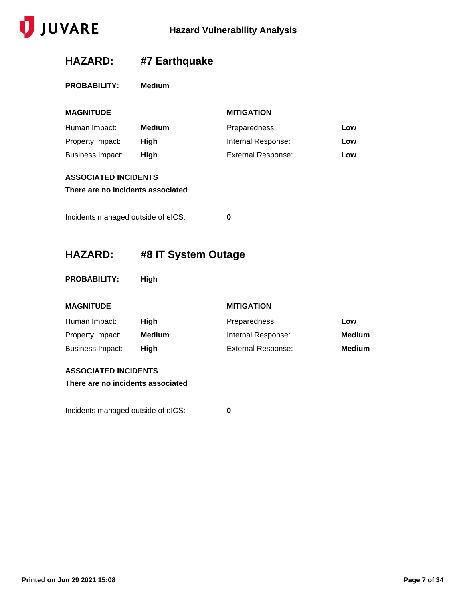

## **HAZARD: #7 Earthquake**

|  | <b>PROBABILITY:</b> |  | Medium |
|--|---------------------|--|--------|
|--|---------------------|--|--------|

| <b>MAGNITUDE</b>                   |                     | <b>MITIGATION</b>         |               |  |
|------------------------------------|---------------------|---------------------------|---------------|--|
| Human Impact:                      | <b>Medium</b>       | Preparedness:             | Low           |  |
| Property Impact:                   | High                | Internal Response:        | Low           |  |
| <b>Business Impact:</b>            | High                | <b>External Response:</b> | Low           |  |
| <b>ASSOCIATED INCIDENTS</b>        |                     |                           |               |  |
| There are no incidents associated  |                     |                           |               |  |
| Incidents managed outside of eICS: |                     | $\bf{0}$                  |               |  |
| <b>HAZARD:</b>                     | #8 IT System Outage |                           |               |  |
| <b>PROBABILITY:</b>                | High                |                           |               |  |
| <b>MAGNITUDE</b>                   |                     | <b>MITIGATION</b>         |               |  |
| Human Impact:                      | High                | Preparedness:             | Low           |  |
| Property Impact:                   | <b>Medium</b>       | Internal Response:        | <b>Medium</b> |  |
| <b>Business Impact:</b>            | High                | <b>External Response:</b> | <b>Medium</b> |  |
| <b>ASSOCIATED INCIDENTS</b>        |                     |                           |               |  |
| There are no incidents associated  |                     |                           |               |  |
|                                    |                     |                           |               |  |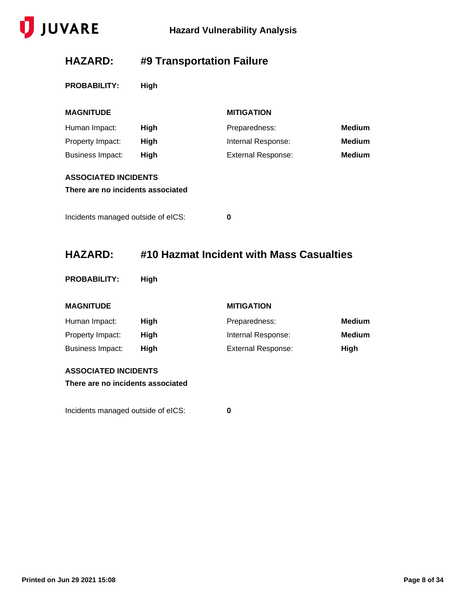

## **HAZARD: #9 Transportation Failure**

|  | <b>PROBABILITY:</b> | <b>High</b> |  |
|--|---------------------|-------------|--|
|  |                     |             |  |

| <b>MAGNITUDE</b>                   |      | <b>MITIGATION</b>         |               |  |  |
|------------------------------------|------|---------------------------|---------------|--|--|
| Human Impact:                      | High | Preparedness:             | <b>Medium</b> |  |  |
| Property Impact:                   | High | Internal Response:        | <b>Medium</b> |  |  |
| <b>Business Impact:</b>            | High | <b>External Response:</b> | <b>Medium</b> |  |  |
| <b>ASSOCIATED INCIDENTS</b>        |      |                           |               |  |  |
| There are no incidents associated  |      |                           |               |  |  |
|                                    |      |                           |               |  |  |
| Incidents managed outside of eICS: |      | 0                         |               |  |  |

### **HAZARD: #10 Hazmat Incident with Mass Casualties**

| <b>PROBABILITY:</b> |  | <b>High</b> |
|---------------------|--|-------------|
|                     |  |             |

|  | <b>MAGNITUDE</b> |
|--|------------------|
|  |                  |

#### **MITIGATION**

| Human Impact:    | High | Preparedness:             | Medium |
|------------------|------|---------------------------|--------|
| Property Impact: | Hiah | Internal Response:        | Medium |
| Business Impact: | Hiah | <b>External Response:</b> | High   |

#### **ASSOCIATED INCIDENTS**

**There are no incidents associated**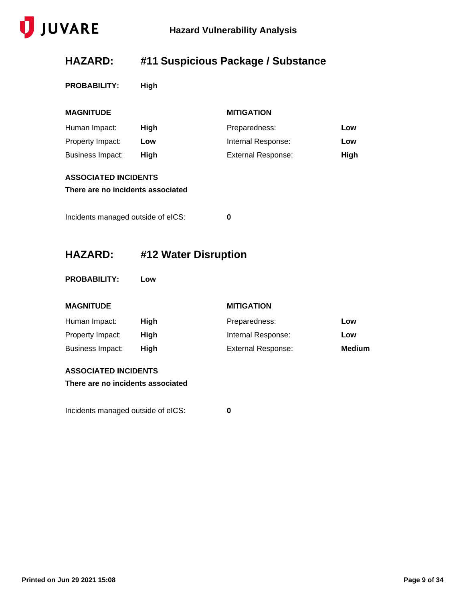

## **HAZARD: #11 Suspicious Package / Substance**

**PROBABILITY: High**

| <b>MAGNITUDE</b>                   |                      | <b>MITIGATION</b>         |               |
|------------------------------------|----------------------|---------------------------|---------------|
| Human Impact:                      | High                 | Preparedness:             | Low           |
| Property Impact:                   | Low                  | Internal Response:        | Low           |
| <b>Business Impact:</b>            | High                 | <b>External Response:</b> | High          |
| <b>ASSOCIATED INCIDENTS</b>        |                      |                           |               |
| There are no incidents associated  |                      |                           |               |
| Incidents managed outside of eICS: |                      | 0                         |               |
| <b>HAZARD:</b>                     | #12 Water Disruption |                           |               |
| <b>PROBABILITY:</b>                | Low                  |                           |               |
| <b>MAGNITUDE</b>                   |                      | <b>MITIGATION</b>         |               |
| Human Impact:                      | High                 | Preparedness:             | Low           |
| Property Impact:                   | High                 | Internal Response:        | Low           |
| <b>Business Impact:</b>            | High                 | <b>External Response:</b> | <b>Medium</b> |
| <b>ASSOCIATED INCIDENTS</b>        |                      |                           |               |
| There are no incidents associated  |                      |                           |               |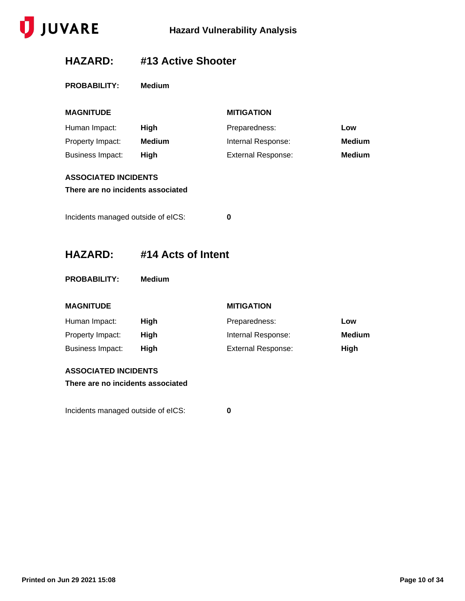

### **HAZARD: #13 Active Shooter**

|  | <b>PROBABILITY:</b> |  | Medium |
|--|---------------------|--|--------|
|--|---------------------|--|--------|

| <b>MAGNITUDE</b>                   |                    | <b>MITIGATION</b>         |               |
|------------------------------------|--------------------|---------------------------|---------------|
| Human Impact:                      | High               | Preparedness:             | Low           |
| Property Impact:                   | <b>Medium</b>      | Internal Response:        | <b>Medium</b> |
| <b>Business Impact:</b>            | High               | <b>External Response:</b> | <b>Medium</b> |
| <b>ASSOCIATED INCIDENTS</b>        |                    |                           |               |
| There are no incidents associated  |                    |                           |               |
|                                    |                    |                           |               |
| Incidents managed outside of eICS: |                    | $\bf{0}$                  |               |
|                                    |                    |                           |               |
| <b>HAZARD:</b>                     | #14 Acts of Intent |                           |               |
|                                    |                    |                           |               |
| <b>PROBABILITY:</b>                | <b>Medium</b>      |                           |               |
| <b>MAGNITUDE</b>                   |                    | <b>MITIGATION</b>         |               |
| Human Impact:                      | High               | Preparedness:             | Low           |
| Property Impact:                   | High               | Internal Response:        | <b>Medium</b> |
| <b>Business Impact:</b>            | High               | <b>External Response:</b> | High          |
| <b>ASSOCIATED INCIDENTS</b>        |                    |                           |               |
| There are no incidents associated  |                    |                           |               |
|                                    |                    |                           |               |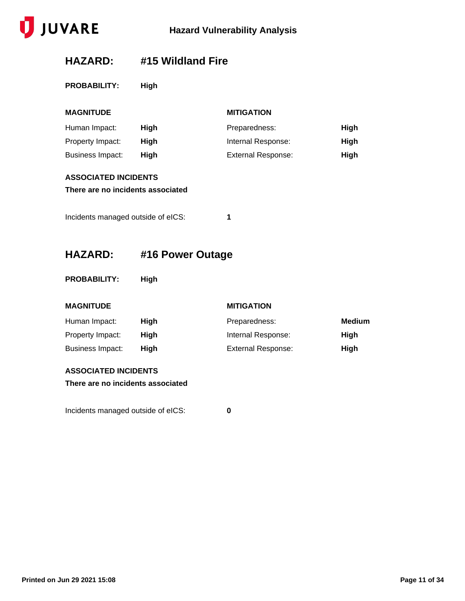

### **HAZARD: #15 Wildland Fire**

**PROBABILITY: High**

| <b>MAGNITUDE</b>                                                 |                  | <b>MITIGATION</b>         |               |
|------------------------------------------------------------------|------------------|---------------------------|---------------|
| Human Impact:                                                    | High             | Preparedness:             | High          |
| Property Impact:                                                 | High             | Internal Response:        | High          |
| <b>Business Impact:</b>                                          | High             | <b>External Response:</b> | High          |
| <b>ASSOCIATED INCIDENTS</b>                                      |                  |                           |               |
| There are no incidents associated                                |                  |                           |               |
| Incidents managed outside of eICS:                               |                  | 1                         |               |
| <b>HAZARD:</b>                                                   | #16 Power Outage |                           |               |
| <b>PROBABILITY:</b>                                              | High             |                           |               |
| <b>MAGNITUDE</b>                                                 |                  | <b>MITIGATION</b>         |               |
| Human Impact:                                                    | High             | Preparedness:             | <b>Medium</b> |
| Property Impact:                                                 | High             | Internal Response:        | High          |
| <b>Business Impact:</b>                                          | High             | <b>External Response:</b> | High          |
| <b>ASSOCIATED INCIDENTS</b><br>There are no incidents associated |                  |                           |               |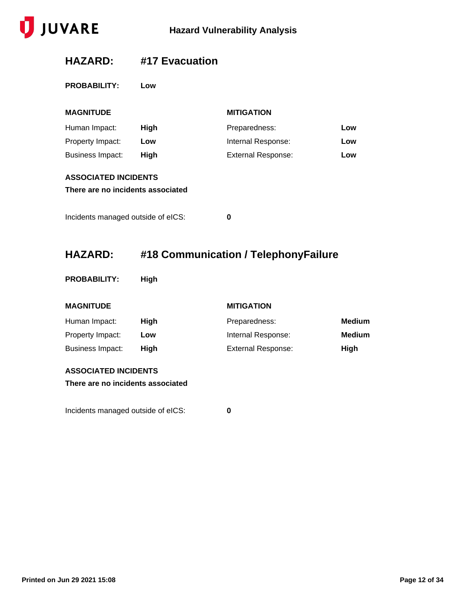

### **HAZARD: #17 Evacuation**

**PROBABILITY: Low**

| <b>MAGNITUDE</b>                                                 |      | <b>MITIGATION</b>         |     |
|------------------------------------------------------------------|------|---------------------------|-----|
| Human Impact:                                                    | High | Preparedness:             | Low |
| Property Impact:                                                 | Low  | Internal Response:        | Low |
| <b>Business Impact:</b>                                          | High | <b>External Response:</b> | Low |
| <b>ASSOCIATED INCIDENTS</b><br>There are no incidents associated |      |                           |     |
| Incidents managed outside of eICS:                               |      | 0                         |     |

## **HAZARD: #18 Communication / TelephonyFailure**

**PROBABILITY: High**

#### **MAGNITUDE MITIGATION**

| Human Impact:    | Hiah | Preparedness:      | Medium |
|------------------|------|--------------------|--------|
| Property Impact: | Low  | Internal Response: | Medium |
| Business Impact: | Hiah | External Response: | Hiah   |

#### **ASSOCIATED INCIDENTS**

**There are no incidents associated**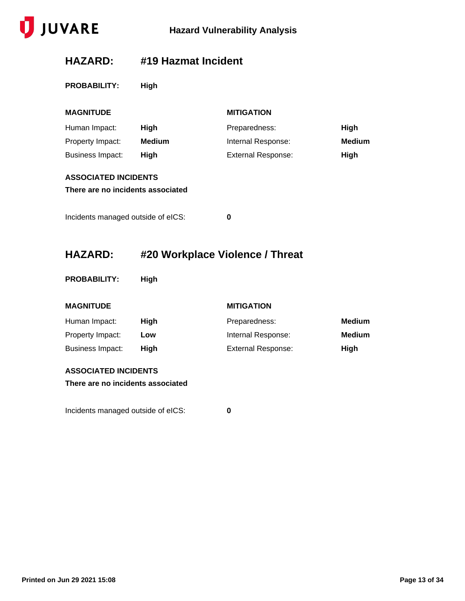

### **HAZARD: #19 Hazmat Incident**

|  | <b>PROBABILITY:</b> | <b>High</b> |  |
|--|---------------------|-------------|--|
|  |                     |             |  |

| <b>MAGNITUDE</b>                                                 |                                 | <b>MITIGATION</b>         |               |
|------------------------------------------------------------------|---------------------------------|---------------------------|---------------|
| Human Impact:                                                    | High                            | Preparedness:             | High          |
| Property Impact:                                                 | <b>Medium</b>                   | Internal Response:        | <b>Medium</b> |
| <b>Business Impact:</b>                                          | High                            | <b>External Response:</b> | High          |
| <b>ASSOCIATED INCIDENTS</b><br>There are no incidents associated |                                 |                           |               |
| Incidents managed outside of eICS:                               |                                 | 0                         |               |
| <b>HAZARD:</b>                                                   | #20 Workplace Violence / Threat |                           |               |

**PROBABILITY: High**

#### **MAGNITUDE MITIGATION**

| Human Impact:    | Hiah | Preparedness:      | Medium        |
|------------------|------|--------------------|---------------|
| Property Impact: | Low  | Internal Response: | <b>Medium</b> |
| Business Impact: | Hiah | External Response: | High          |

#### **ASSOCIATED INCIDENTS**

**There are no incidents associated**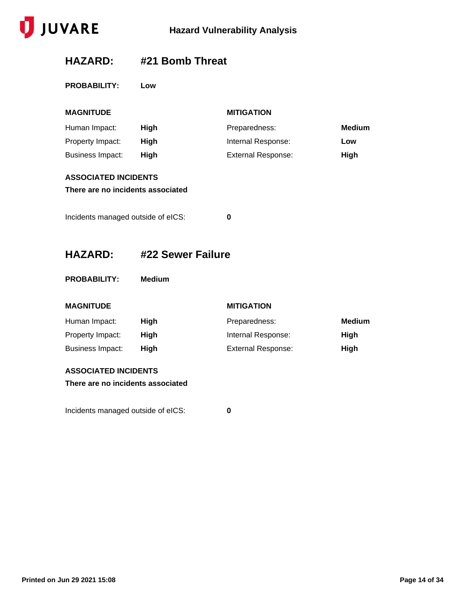

### **HAZARD: #21 Bomb Threat**

**PROBABILITY: Low**

| <b>MAGNITUDE</b>                                                 |                   | <b>MITIGATION</b>         |               |
|------------------------------------------------------------------|-------------------|---------------------------|---------------|
| Human Impact:                                                    | <b>High</b>       | Preparedness:             | <b>Medium</b> |
| Property Impact:                                                 | High              | Internal Response:        | Low           |
| <b>Business Impact:</b>                                          | High              | <b>External Response:</b> | High          |
| <b>ASSOCIATED INCIDENTS</b><br>There are no incidents associated |                   |                           |               |
| Incidents managed outside of eICS:                               |                   | 0                         |               |
| <b>HAZARD:</b>                                                   | #22 Sewer Failure |                           |               |
|                                                                  |                   |                           |               |
| <b>PROBABILITY:</b>                                              | <b>Medium</b>     |                           |               |
| <b>MAGNITUDE</b>                                                 |                   | <b>MITIGATION</b>         |               |
| Human Impact:                                                    | High              | Preparedness:             | <b>Medium</b> |
| Property Impact:                                                 | High              | Internal Response:        | High          |
| <b>Business Impact:</b>                                          | High              | <b>External Response:</b> | High          |
| <b>ASSOCIATED INCIDENTS</b><br>There are no incidents associated |                   |                           |               |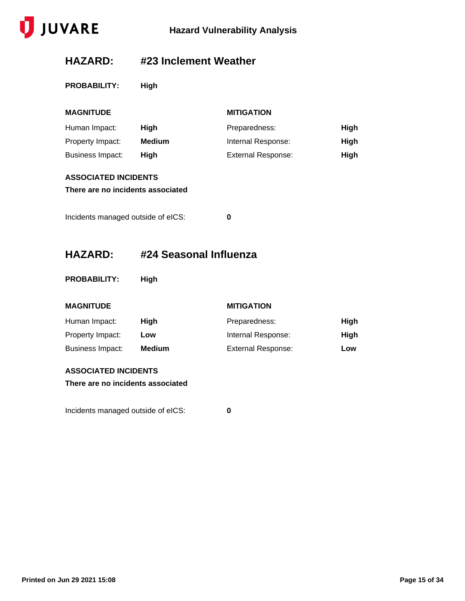

### **HAZARD: #23 Inclement Weather**

**PROBABILITY: High**

| <b>MAGNITUDE</b>                   |                        | <b>MITIGATION</b>         |             |
|------------------------------------|------------------------|---------------------------|-------------|
| Human Impact:                      | High                   | Preparedness:             | <b>High</b> |
| Property Impact:                   | <b>Medium</b>          | Internal Response:        | <b>High</b> |
| <b>Business Impact:</b>            | High                   | <b>External Response:</b> | <b>High</b> |
| <b>ASSOCIATED INCIDENTS</b>        |                        |                           |             |
| There are no incidents associated  |                        |                           |             |
| Incidents managed outside of eICS: |                        | 0                         |             |
| <b>HAZARD:</b>                     | #24 Seasonal Influenza |                           |             |
| <b>PROBABILITY:</b>                | High                   |                           |             |
| <b>MAGNITUDE</b>                   |                        | <b>MITIGATION</b>         |             |
| Human Impact:                      | High                   | Preparedness:             | <b>High</b> |
| Property Impact:                   | Low                    | Internal Response:        | <b>High</b> |
| <b>Business Impact:</b>            | <b>Medium</b>          | <b>External Response:</b> | Low         |

#### **ASSOCIATED INCIDENTS**

**There are no incidents associated**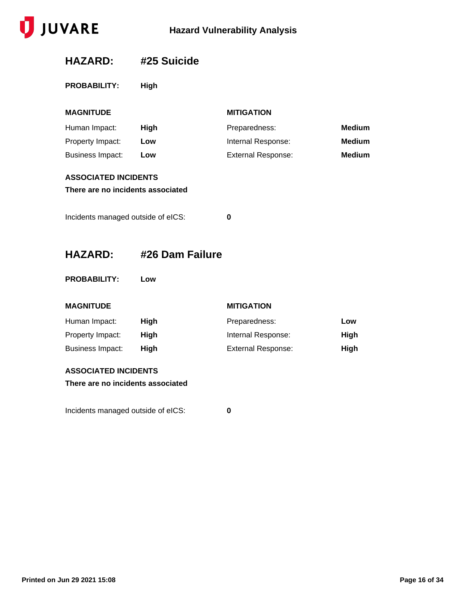

### **HAZARD: #25 Suicide**

**PROBABILITY: High**

| <b>MAGNITUDE</b>                                                 |                 | <b>MITIGATION</b>         |               |
|------------------------------------------------------------------|-----------------|---------------------------|---------------|
| Human Impact:                                                    | High            | Preparedness:             | <b>Medium</b> |
| Property Impact:                                                 | Low             | Internal Response:        | <b>Medium</b> |
| <b>Business Impact:</b>                                          | Low             | <b>External Response:</b> | <b>Medium</b> |
| <b>ASSOCIATED INCIDENTS</b><br>There are no incidents associated |                 |                           |               |
| Incidents managed outside of eICS:                               |                 | 0                         |               |
| <b>HAZARD:</b>                                                   | #26 Dam Failure |                           |               |
| <b>PROBABILITY:</b>                                              | Low             |                           |               |

#### **MAGNITUDE MITIGATION**

| Human Impact:    | High | Preparedness:             | Low  |
|------------------|------|---------------------------|------|
| Property Impact: | Hiah | Internal Response:        | High |
| Business Impact: | Hiah | <b>External Response:</b> | High |

#### **ASSOCIATED INCIDENTS**

**There are no incidents associated**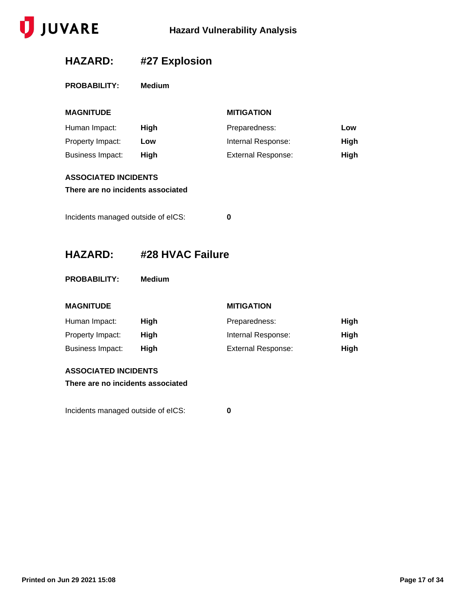

## **HAZARD: #27 Explosion**

| <b>PROBABILITY:</b><br>Medium |
|-------------------------------|
|-------------------------------|

| <b>MAGNITUDE</b>                                                                                       |                  | <b>MITIGATION</b>         |             |
|--------------------------------------------------------------------------------------------------------|------------------|---------------------------|-------------|
| Human Impact:                                                                                          | High             | Preparedness:             | Low         |
| Property Impact:                                                                                       | Low              | Internal Response:        | High        |
| <b>Business Impact:</b>                                                                                | High             | <b>External Response:</b> | <b>High</b> |
| <b>ASSOCIATED INCIDENTS</b><br>There are no incidents associated<br>Incidents managed outside of eICS: |                  | 0                         |             |
| <b>HAZARD:</b>                                                                                         | #28 HVAC Failure |                           |             |
| <b>PROBABILITY:</b>                                                                                    | <b>Medium</b>    |                           |             |
| <b>MAGNITUDE</b>                                                                                       |                  | <b>MITIGATION</b>         |             |

| Human Impact:    | Hiah | Preparedness:             | High        |
|------------------|------|---------------------------|-------------|
| Property Impact: | Hiah | Internal Response:        | <b>High</b> |
| Business Impact: | Hiah | <b>External Response:</b> | <b>High</b> |

#### **ASSOCIATED INCIDENTS**

**There are no incidents associated**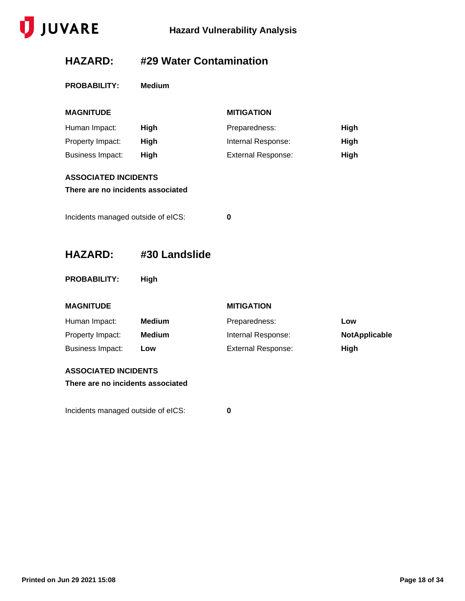

## **HAZARD: #29 Water Contamination**

| <b>PROBABILITY:</b> | Medium |
|---------------------|--------|
|                     |        |

| <b>MAGNITUDE</b>                                                                                       |      | <b>MITIGATION</b>         |      |
|--------------------------------------------------------------------------------------------------------|------|---------------------------|------|
| Human Impact:                                                                                          | High | Preparedness:             | High |
| Property Impact:                                                                                       | High | Internal Response:        | High |
| <b>Business Impact:</b>                                                                                | High | <b>External Response:</b> | High |
| <b>ASSOCIATED INCIDENTS</b><br>There are no incidents associated<br>Incidents managed outside of eICS: |      | 0                         |      |
|                                                                                                        |      |                           |      |

**HAZARD: #30 Landslide**

**PROBABILITY: High**

| <b>MAGNITUDE</b> |  |  |
|------------------|--|--|
|                  |  |  |

**MITIGATION** 

| Human Impact:    | Medium | Preparedness:             | LOW           |
|------------------|--------|---------------------------|---------------|
| Property Impact: | Medium | Internal Response:        | NotApplicable |
| Business Impact: | Low    | <b>External Response:</b> | High          |

#### **ASSOCIATED INCIDENTS**

**There are no incidents associated**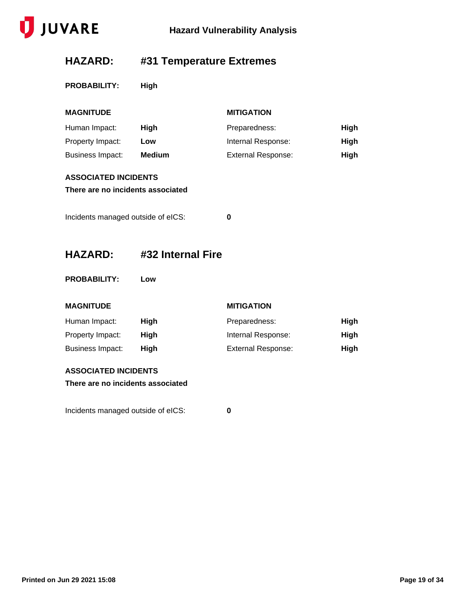

## **HAZARD: #31 Temperature Extremes**

**PROBABILITY: High**

| <b>MAGNITUDE</b>                                                 |                   | <b>MITIGATION</b>         |      |
|------------------------------------------------------------------|-------------------|---------------------------|------|
| Human Impact:                                                    | High              | Preparedness:             | High |
| Property Impact:                                                 | Low               | Internal Response:        | High |
| <b>Business Impact:</b>                                          | <b>Medium</b>     | <b>External Response:</b> | High |
| <b>ASSOCIATED INCIDENTS</b><br>There are no incidents associated |                   |                           |      |
| Incidents managed outside of eICS:                               |                   | 0                         |      |
| <b>HAZARD:</b>                                                   | #32 Internal Fire |                           |      |

**PROBABILITY: Low**

#### **MAGNITUDE MITIGATION**

| Human Impact:    | Hiah | Preparedness:             | High |
|------------------|------|---------------------------|------|
| Property Impact: | Hiah | Internal Response:        | High |
| Business Impact: | Hiah | <b>External Response:</b> | High |

#### **ASSOCIATED INCIDENTS**

**There are no incidents associated**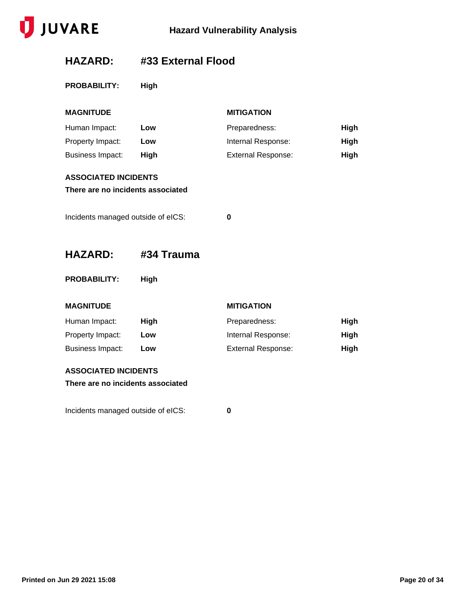

### **HAZARD: #33 External Flood**

**PROBABILITY: High**

| <b>MAGNITUDE</b>                                                 |            | <b>MITIGATION</b>         |      |
|------------------------------------------------------------------|------------|---------------------------|------|
| Human Impact:                                                    | Low        | Preparedness:             | High |
| Property Impact:                                                 | Low        | Internal Response:        | High |
| <b>Business Impact:</b>                                          | High       | <b>External Response:</b> | High |
| <b>ASSOCIATED INCIDENTS</b><br>There are no incidents associated |            |                           |      |
| Incidents managed outside of eICS:                               |            | 0                         |      |
| <b>HAZARD:</b>                                                   | #34 Trauma |                           |      |

**PROBABILITY: High**

#### **MAGNITUDE MITIGATION**

| Human Impact:    | Hiah | Preparedness:             | High |
|------------------|------|---------------------------|------|
| Property Impact: | Low  | Internal Response:        | High |
| Business Impact: | Low  | <b>External Response:</b> | High |

#### **ASSOCIATED INCIDENTS**

**There are no incidents associated**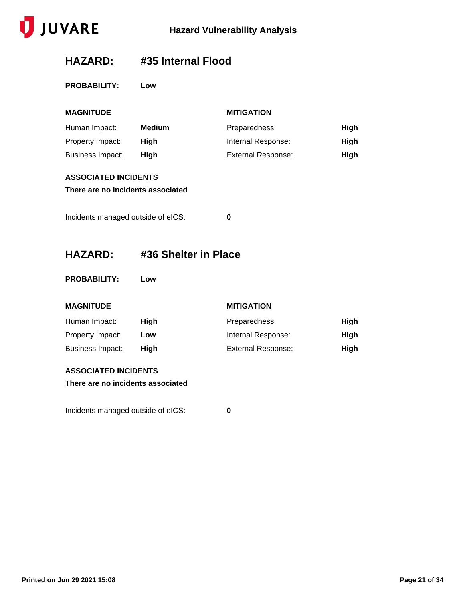

### **HAZARD: #35 Internal Flood**

**PROBABILITY: Low**

| <b>MAGNITUDE</b>                   |                      | <b>MITIGATION</b>         |             |
|------------------------------------|----------------------|---------------------------|-------------|
| Human Impact:                      | <b>Medium</b>        | Preparedness:             | <b>High</b> |
| Property Impact:                   | High                 | Internal Response:        | <b>High</b> |
| <b>Business Impact:</b>            | High                 | <b>External Response:</b> | High        |
| <b>ASSOCIATED INCIDENTS</b>        |                      |                           |             |
| There are no incidents associated  |                      |                           |             |
|                                    |                      |                           |             |
| Incidents managed outside of eICS: |                      | $\bf{0}$                  |             |
|                                    |                      |                           |             |
| <b>HAZARD:</b>                     | #36 Shelter in Place |                           |             |
|                                    |                      |                           |             |
|                                    |                      |                           |             |
| <b>PROBABILITY:</b>                | Low                  |                           |             |
|                                    |                      |                           |             |
| <b>MAGNITUDE</b>                   |                      | <b>MITIGATION</b>         |             |
| Human Impact:                      | High                 | Preparedness:             | High        |
| Property Impact:                   | Low                  | Internal Response:        | <b>High</b> |
| <b>Business Impact:</b>            | High                 | <b>External Response:</b> | High        |
| <b>ASSOCIATED INCIDENTS</b>        |                      |                           |             |
| There are no incidents associated  |                      |                           |             |
|                                    |                      |                           |             |
| Incidents managed outside of eICS: |                      | 0                         |             |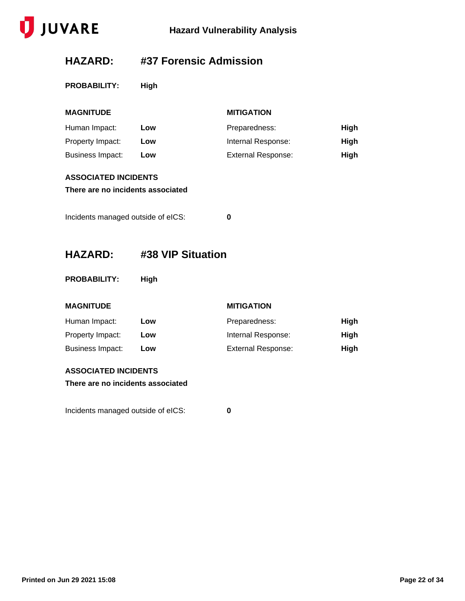

### **HAZARD: #37 Forensic Admission**

**PROBABILITY: High**

| <b>MAGNITUDE</b>                                                 |                   | <b>MITIGATION</b>         |             |
|------------------------------------------------------------------|-------------------|---------------------------|-------------|
| Human Impact:                                                    | Low               | Preparedness:             | <b>High</b> |
| Property Impact:                                                 | Low               | Internal Response:        | <b>High</b> |
| <b>Business Impact:</b>                                          | Low               | <b>External Response:</b> | <b>High</b> |
| <b>ASSOCIATED INCIDENTS</b><br>There are no incidents associated |                   |                           |             |
| Incidents managed outside of eICS:                               |                   | 0                         |             |
| <b>HAZARD:</b>                                                   | #38 VIP Situation |                           |             |
| <b>PROBABILITY:</b>                                              | High              |                           |             |
| <b>MAGNITUDE</b>                                                 |                   | <b>MITIGATION</b>         |             |
| Human Impact:                                                    | Low               | Preparedness:             | <b>High</b> |
| Property Impact:                                                 | Low               | Internal Response:        | <b>High</b> |
| <b>Business Impact:</b>                                          | Low               | <b>External Response:</b> | <b>High</b> |

#### **ASSOCIATED INCIDENTS**

**There are no incidents associated**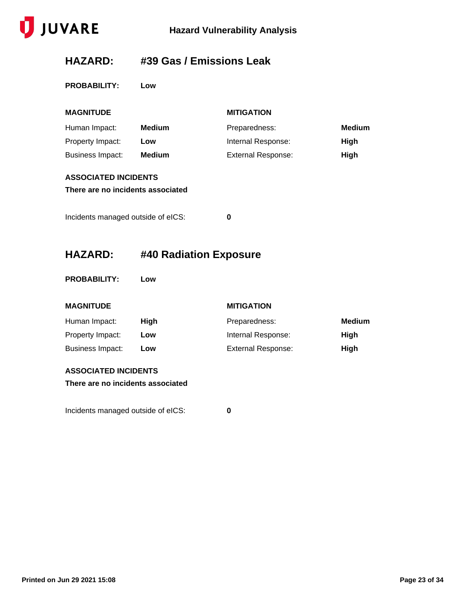

### **HAZARD: #39 Gas / Emissions Leak**

**PROBABILITY: Low**

| <b>MAGNITUDE</b>                                                 |                        | <b>MITIGATION</b>         |               |
|------------------------------------------------------------------|------------------------|---------------------------|---------------|
| Human Impact:                                                    | <b>Medium</b>          | Preparedness:             | <b>Medium</b> |
| Property Impact:                                                 | Low                    | Internal Response:        | High          |
| <b>Business Impact:</b>                                          | <b>Medium</b>          | <b>External Response:</b> | High          |
| <b>ASSOCIATED INCIDENTS</b><br>There are no incidents associated |                        |                           |               |
| Incidents managed outside of eICS:                               |                        | 0                         |               |
|                                                                  |                        |                           |               |
| <b>HAZARD:</b>                                                   | #40 Radiation Exposure |                           |               |
|                                                                  |                        |                           |               |
| <b>PROBABILITY:</b>                                              | Low                    |                           |               |
| <b>MAGNITUDE</b>                                                 |                        | <b>MITIGATION</b>         |               |
| Human Impact:                                                    | High                   | Preparedness:             | <b>Medium</b> |
| Property Impact:                                                 | Low                    | Internal Response:        | High          |
| <b>Business Impact:</b>                                          | Low                    | <b>External Response:</b> | High          |
| <b>ASSOCIATED INCIDENTS</b><br>There are no incidents associated |                        |                           |               |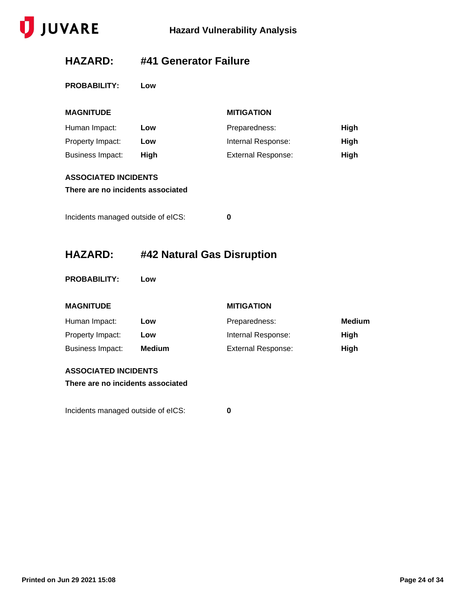

### **HAZARD: #41 Generator Failure**

**PROBABILITY: Low**

| <b>MAGNITUDE</b>                   |      | <b>MITIGATION</b>         |             |
|------------------------------------|------|---------------------------|-------------|
| Human Impact:                      | Low  | Preparedness:             | High        |
| Property Impact:                   | Low  | Internal Response:        | <b>High</b> |
| Business Impact:                   | High | <b>External Response:</b> | High        |
| <b>ASSOCIATED INCIDENTS</b>        |      |                           |             |
| There are no incidents associated  |      |                           |             |
|                                    |      |                           |             |
| Incidents managed outside of eICS: |      | 0                         |             |

### **HAZARD: #42 Natural Gas Disruption**

**PROBABILITY: Low**

#### **MAGNITUDE MITIGATION**

| Human Impact:    | Low           | Preparedness:             | Medium |
|------------------|---------------|---------------------------|--------|
| Property Impact: | Low           | Internal Response:        | High   |
| Business Impact: | <b>Medium</b> | <b>External Response:</b> | Hiah   |

#### **ASSOCIATED INCIDENTS**

**There are no incidents associated**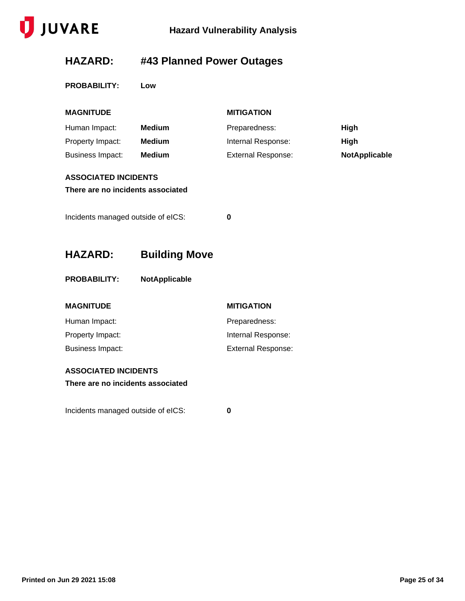

## **HAZARD: #43 Planned Power Outages**

**PROBABILITY: Low**

| <b>MAGNITUDE</b>                   |                      | <b>MITIGATION</b>         |               |
|------------------------------------|----------------------|---------------------------|---------------|
| Human Impact:                      | <b>Medium</b>        | Preparedness:             | High          |
| Property Impact:                   | <b>Medium</b>        | Internal Response:        | High          |
| <b>Business Impact:</b>            | <b>Medium</b>        | <b>External Response:</b> | NotApplicable |
| <b>ASSOCIATED INCIDENTS</b>        |                      |                           |               |
| There are no incidents associated  |                      |                           |               |
| Incidents managed outside of eICS: |                      | 0                         |               |
| <b>HAZARD:</b>                     | <b>Building Move</b> |                           |               |
| <b>PROBABILITY:</b>                | NotApplicable        |                           |               |
| <b>MAGNITUDE</b>                   |                      | <b>MITIGATION</b>         |               |
| Human Impact:                      |                      | Preparedness:             |               |
| Property Impact:                   |                      | Internal Response:        |               |
| <b>Business Impact:</b>            |                      | <b>External Response:</b> |               |
| <b>ASSOCIATED INCIDENTS</b>        |                      |                           |               |
| There are no incidents associated  |                      |                           |               |
| Incidents managed outside of eICS: |                      | 0                         |               |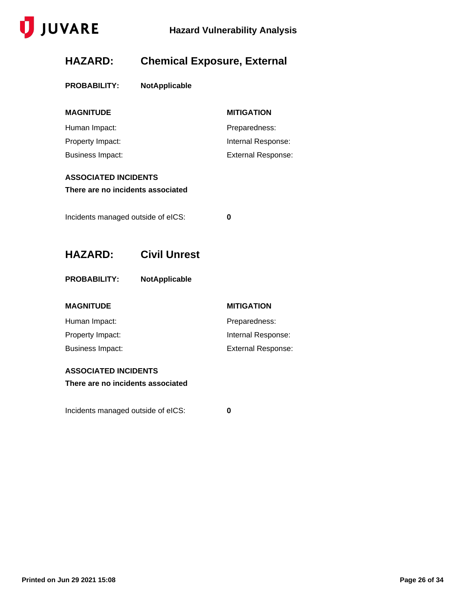

### **HAZARD: Chemical Exposure, External**

| <b>PROBABILITY:</b> | <b>NotApplicable</b> |
|---------------------|----------------------|
|                     |                      |

| <b>MAGNITUDE</b> | <b>MITIGATION</b>         |
|------------------|---------------------------|
| Human Impact:    | Preparedness:             |
| Property Impact: | Internal Response:        |
| Business Impact: | <b>External Response:</b> |

### **ASSOCIATED INCIDENTS**

**There are no incidents associated**

Incidents managed outside of eICS: **0**

- **HAZARD: Civil Unrest**
- **PROBABILITY: NotApplicable**

#### **MAGNITUDE MITIGATION**

| Human Impact:    | Preparedness:             |
|------------------|---------------------------|
| Property Impact: | Internal Response:        |
| Business Impact: | <b>External Response:</b> |

#### **ASSOCIATED INCIDENTS**

**There are no incidents associated**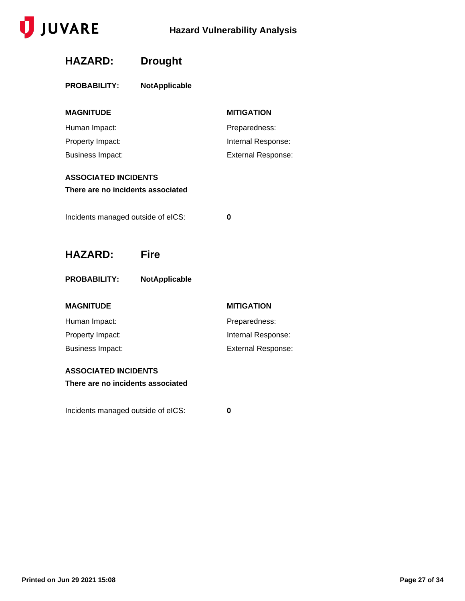

| <b>HAZARD:</b>                     | <b>Drought</b> |                           |
|------------------------------------|----------------|---------------------------|
| <b>PROBABILITY:</b>                | NotApplicable  |                           |
| <b>MAGNITUDE</b>                   |                | <b>MITIGATION</b>         |
| Human Impact:                      |                | Preparedness:             |
| Property Impact:                   |                | Internal Response:        |
| <b>Business Impact:</b>            |                | <b>External Response:</b> |
| <b>ASSOCIATED INCIDENTS</b>        |                |                           |
| There are no incidents associated  |                |                           |
|                                    |                |                           |
| Incidents managed outside of eICS: |                | 0                         |
|                                    |                |                           |
|                                    |                |                           |
| <b>HAZARD:</b>                     | <b>Fire</b>    |                           |
| <b>PROBABILITY:</b>                | NotApplicable  |                           |
| <b>MAGNITUDE</b>                   |                | <b>MITIGATION</b>         |
| Human Impact:                      |                | Preparedness:             |
| Property Impact:                   |                | Internal Response:        |
| <b>Business Impact:</b>            |                | <b>External Response:</b> |
|                                    |                |                           |
| <b>ASSOCIATED INCIDENTS</b>        |                |                           |
| There are no incidents associated  |                |                           |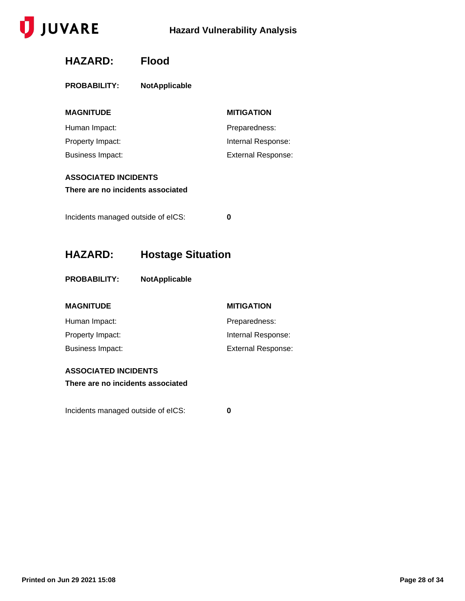

## **HAZARD: Flood**

| <b>PROBABILITY:</b> | <b>NotApplicable</b> |
|---------------------|----------------------|
|---------------------|----------------------|

| <b>MAGNITUDE</b>        | <b>MITIGATION</b>         |
|-------------------------|---------------------------|
| Human Impact:           | Preparedness:             |
| Property Impact:        | Internal Response:        |
| <b>Business Impact:</b> | <b>External Response:</b> |

### **ASSOCIATED INCIDENTS**

**There are no incidents associated**

Incidents managed outside of eICS: **0**

### **HAZARD: Hostage Situation**

**PROBABILITY: NotApplicable**

### **MAGNITUDE MITIGATION**

| <b>IVIAUNII ULL</b> | <b>MITIOAIIVI</b>  |
|---------------------|--------------------|
| Human Impact:       | Preparedness:      |
| Property Impact:    | Internal Response: |
| Business Impact:    | External Response: |

#### **ASSOCIATED INCIDENTS**

**There are no incidents associated**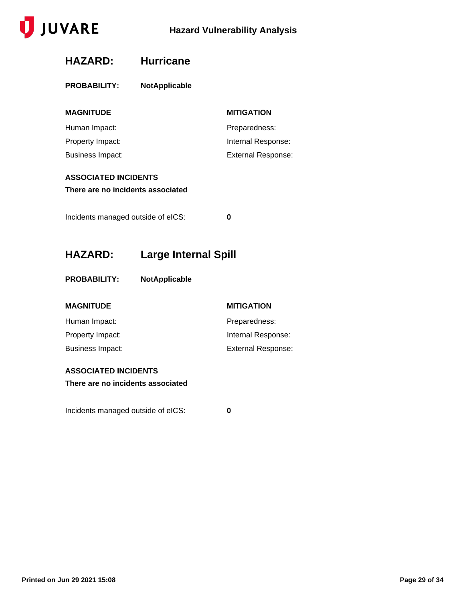

| <b>HAZARD:</b>                                                                                              | <b>Hurricane</b>            |                           |
|-------------------------------------------------------------------------------------------------------------|-----------------------------|---------------------------|
| <b>PROBABILITY:</b>                                                                                         | <b>NotApplicable</b>        |                           |
| <b>MAGNITUDE</b>                                                                                            |                             | <b>MITIGATION</b>         |
| Human Impact:                                                                                               |                             | Preparedness:             |
| Property Impact:                                                                                            |                             | Internal Response:        |
| <b>Business Impact:</b>                                                                                     |                             | <b>External Response:</b> |
| <b>ASSOCIATED INCIDENTS</b><br>There are no incidents associated<br>Incidents managed outside of eICS:<br>0 |                             |                           |
|                                                                                                             |                             |                           |
| <b>HAZARD:</b>                                                                                              | <b>Large Internal Spill</b> |                           |
| <b>PROBABILITY:</b>                                                                                         | <b>NotApplicable</b>        |                           |
| <b>MAGNITUDE</b>                                                                                            |                             | <b>MITIGATION</b>         |
| Human Impact:                                                                                               |                             | Preparedness:             |
| Property Impact:                                                                                            |                             | Internal Response:        |
| <b>Business Impact:</b>                                                                                     |                             | <b>External Response:</b> |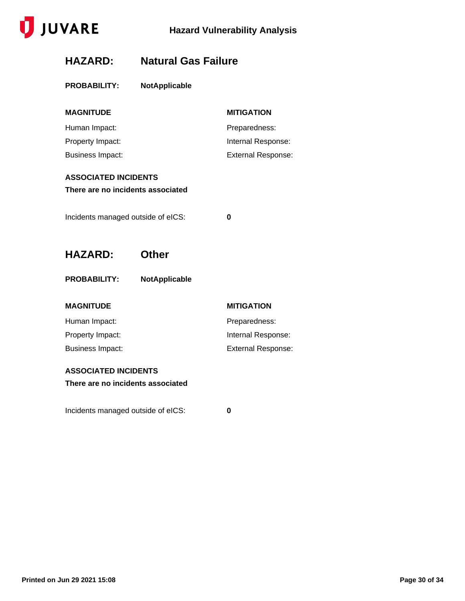

### **HAZARD: Natural Gas Failure**

| <b>PROBABILITY:</b>                | <b>NotApplicable</b> |                           |
|------------------------------------|----------------------|---------------------------|
| <b>MAGNITUDE</b>                   |                      | <b>MITIGATION</b>         |
| Human Impact:                      |                      | Preparedness:             |
| Property Impact:                   |                      | Internal Response:        |
| <b>Business Impact:</b>            |                      | <b>External Response:</b> |
| <b>ASSOCIATED INCIDENTS</b>        |                      |                           |
| There are no incidents associated  |                      |                           |
|                                    |                      |                           |
| Incidents managed outside of eICS: |                      | 0                         |
|                                    |                      |                           |
| <b>HAZARD:</b>                     | <b>Other</b>         |                           |
| <b>PROBABILITY:</b>                | <b>NotApplicable</b> |                           |
| <b>MAGNITUDE</b>                   |                      | <b>MITIGATION</b>         |
| Human Impact:                      |                      | Preparedness:             |
| Property Impact:                   |                      | Internal Response:        |
| <b>Business Impact:</b>            |                      | <b>External Response:</b> |
| <b>ASSOCIATED INCIDENTS</b>        |                      |                           |
| There are no incidents associated  |                      |                           |
|                                    |                      |                           |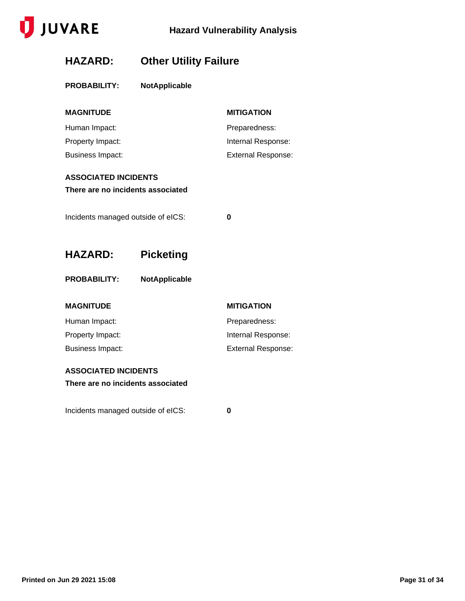

### **HAZARD: Other Utility Failure**

| <b>PROBABILITY:</b> | <b>NotApplicable</b> |                   |  |
|---------------------|----------------------|-------------------|--|
| <b>MAGNITUDE</b>    |                      | <b>MITIGATION</b> |  |
| Human Impact:       |                      | Preparedness:     |  |

| Property Impact: | Internal Response: |
|------------------|--------------------|
| Business Impact: | External Response: |

### **ASSOCIATED INCIDENTS**

**There are no incidents associated**

Incidents managed outside of eICS: **0**

**HAZARD: Picketing**

| <b>PROBABILITY:</b> | <b>NotApplicable</b> |
|---------------------|----------------------|
|                     |                      |

| <b>MITIGATION</b>         |
|---------------------------|
| Preparedness:             |
| Internal Response:        |
| <b>External Response:</b> |
|                           |

### **ASSOCIATED INCIDENTS**

**There are no incidents associated**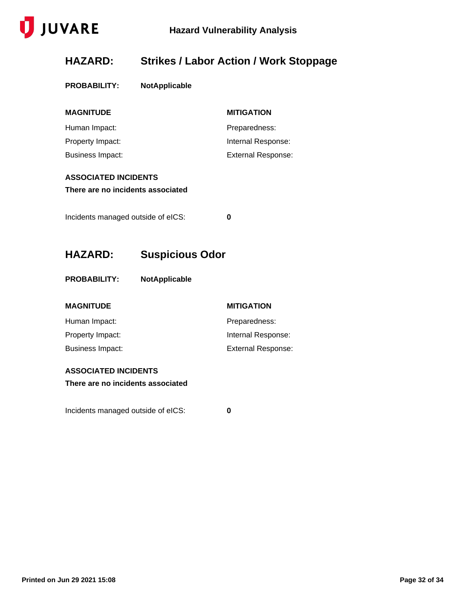

### **HAZARD: Strikes / Labor Action / Work Stoppage**

| <b>PROBABILITY:</b> | <b>NotApplicable</b> |
|---------------------|----------------------|
|---------------------|----------------------|

| <b>MITIGATION</b>  |
|--------------------|
| Preparedness:      |
| Internal Response: |
| External Response: |
|                    |

### **ASSOCIATED INCIDENTS**

**There are no incidents associated**

Incidents managed outside of eICS: **0**

**HAZARD: Suspicious Odor**

**PROBABILITY: NotApplicable**

| <b>MITIGATION</b>         |
|---------------------------|
| Preparedness:             |
| Internal Response:        |
| <b>External Response:</b> |
|                           |

#### **ASSOCIATED INCIDENTS**

**There are no incidents associated**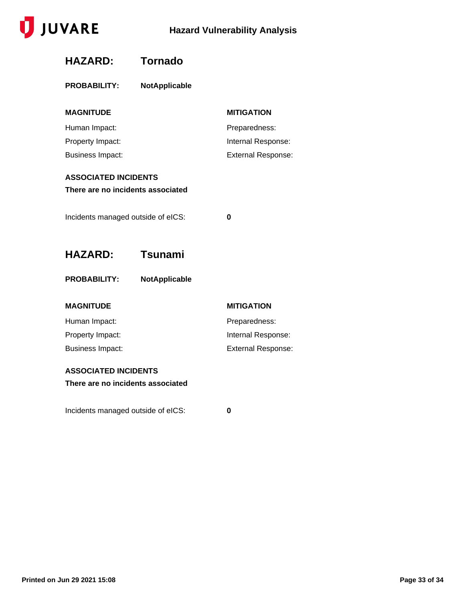

| <b>HAZARD:</b>                     | <b>Tornado</b>       |                           |  |  |
|------------------------------------|----------------------|---------------------------|--|--|
| <b>PROBABILITY:</b>                | NotApplicable        |                           |  |  |
| <b>MAGNITUDE</b>                   |                      | <b>MITIGATION</b>         |  |  |
| Human Impact:                      |                      | Preparedness:             |  |  |
| Property Impact:                   |                      | Internal Response:        |  |  |
| <b>Business Impact:</b>            |                      | <b>External Response:</b> |  |  |
| <b>ASSOCIATED INCIDENTS</b>        |                      |                           |  |  |
| There are no incidents associated  |                      |                           |  |  |
|                                    |                      |                           |  |  |
| Incidents managed outside of eICS: |                      | 0                         |  |  |
|                                    |                      |                           |  |  |
|                                    |                      |                           |  |  |
| <b>HAZARD:</b>                     | <b>Tsunami</b>       |                           |  |  |
| <b>PROBABILITY:</b>                | <b>NotApplicable</b> |                           |  |  |
| <b>MAGNITUDE</b>                   |                      | <b>MITIGATION</b>         |  |  |
| Human Impact:                      |                      | Preparedness:             |  |  |
| Property Impact:                   |                      | Internal Response:        |  |  |
| <b>Business Impact:</b>            |                      | <b>External Response:</b> |  |  |
| <b>ASSOCIATED INCIDENTS</b>        |                      |                           |  |  |
| There are no incidents associated  |                      |                           |  |  |